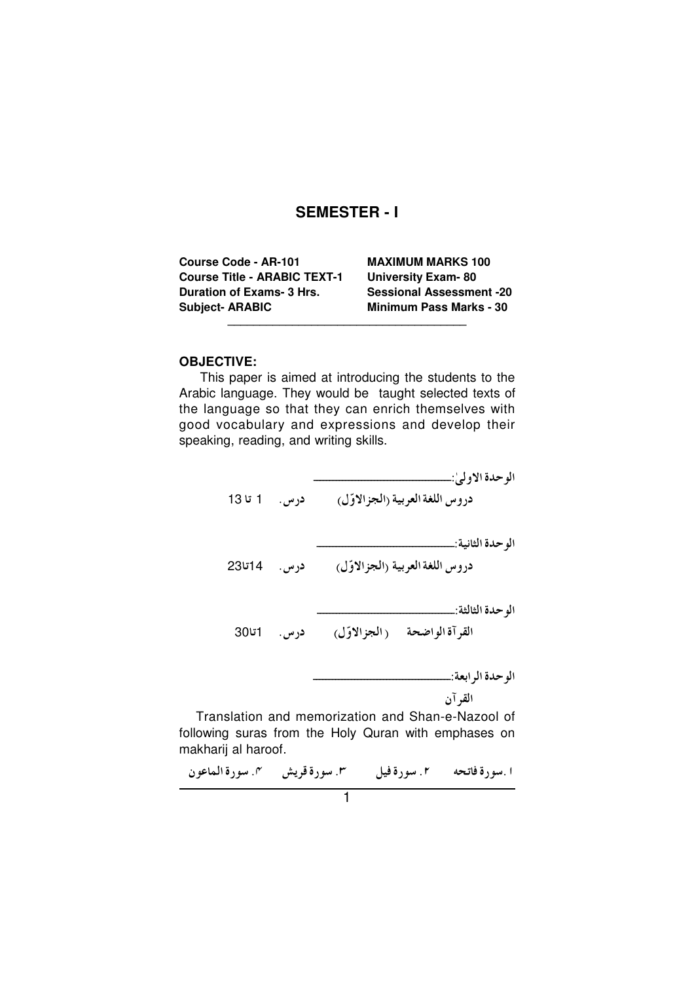# **SEMESTER-I**

| <b>MAXIMUM MARKS 100</b>        |
|---------------------------------|
| <b>University Exam-80</b>       |
| <b>Sessional Assessment -20</b> |
| <b>Minimum Pass Marks - 30</b>  |
|                                 |

#### **OBJECTIVE:**

This paper is aimed at introducing the students to the Arabic language. They would be taught selected texts of the language so that they can enrich themselves with good vocabulary and expressions and develop their speaking, reading, and writing skills.

دروس اللغة العربية (الجزالاوّل) درس. 1 تا 13 دروس اللغة العربية (الجزالاوّل) درس. 14تا23 القرآة الواضحة (الجزالاوّل) درس. 1تا30 القرآن Translation and memorization and Shan-e-Nazool of following suras from the Holy Quran with emphases on makharij al haroof. ا سورة فاتحه " 1 ـ سورة فيل " سع سورة قريش " سورة الماعون" .<br>1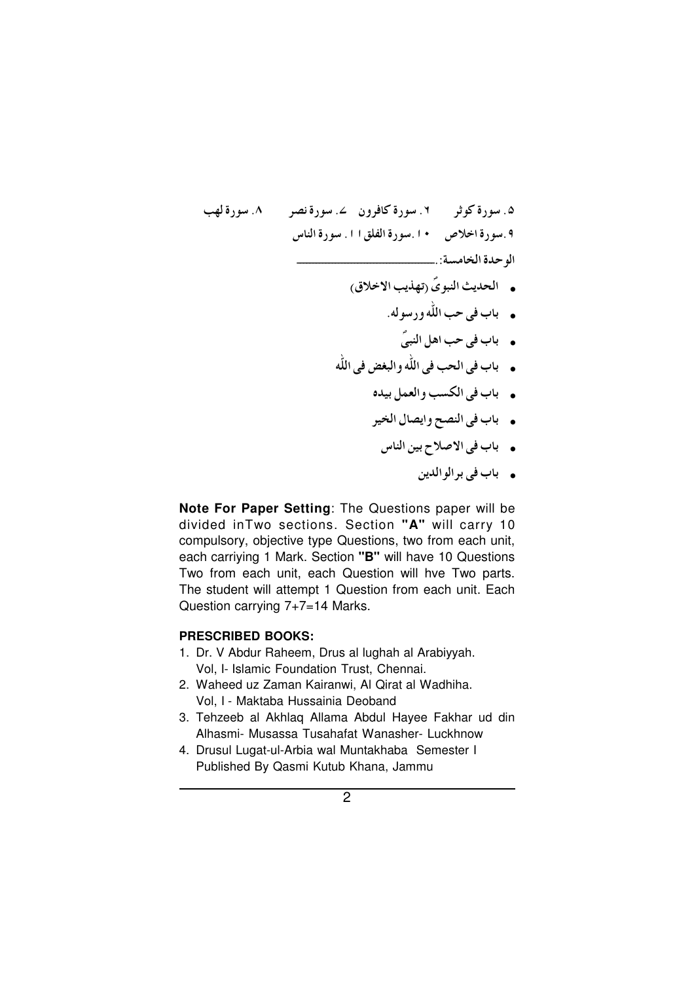- ه باب في حب اهل النبيّ
- ه باب في الحب في الله والبغض في الله
	- . باب في الكسب والعمل بيده
	- . باب في النصح وايصال الخير
		- . باب في الاصلاح بين الناس
			- ه باب في برالوالدين

Note For Paper Setting: The Questions paper will be divided in Two sections. Section "A" will carry 10 compulsory, objective type Questions, two from each unit, each carriying 1 Mark. Section "B" will have 10 Questions Two from each unit, each Question will hve Two parts. The student will attempt 1 Question from each unit. Each Question carrying 7+7=14 Marks.

## **PRESCRIBED BOOKS:**

- 1. Dr. V Abdur Raheem, Drus al lughah al Arabiyyah. Vol, I- Islamic Foundation Trust, Chennai.
- 2. Waheed uz Zaman Kairanwi. Al Qirat al Wadhiha. Vol, I - Maktaba Hussainia Deoband
- 3. Tehzeeb al Akhlaq Allama Abdul Hayee Fakhar ud din Alhasmi- Musassa Tusahafat Wanasher- Luckhnow
- 4. Drusul Lugat-ul-Arbia wal Muntakhaba Semester I Published By Qasmi Kutub Khana, Jammu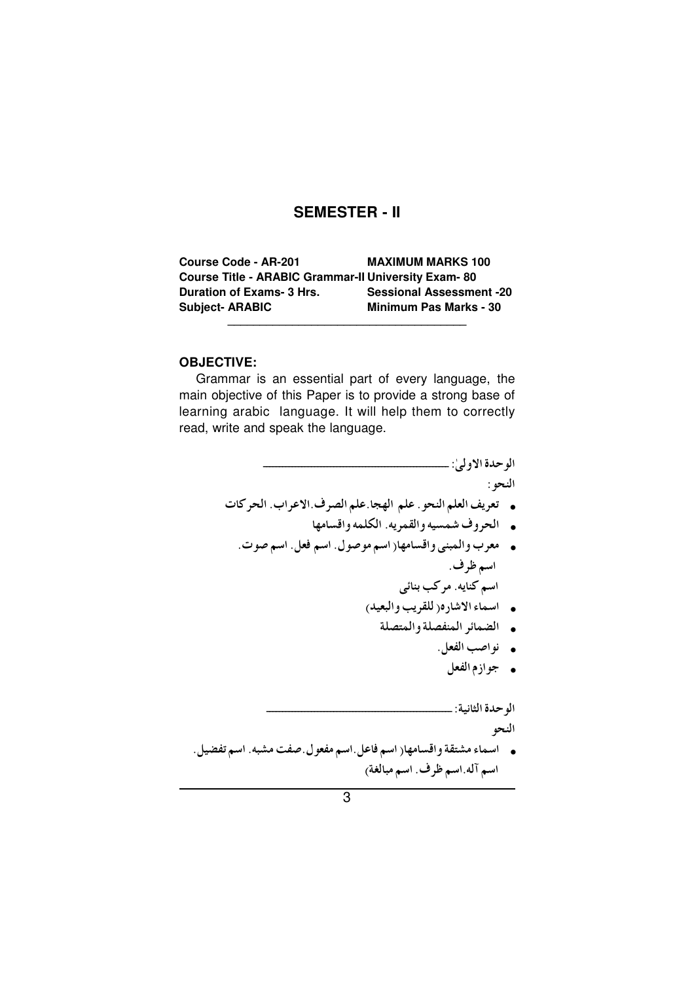# **SEMESTER - II**

| <b>Course Code - AR-201</b>                                | <b>MAXIMUM MARKS 100</b>        |
|------------------------------------------------------------|---------------------------------|
| <b>Course Title - ARABIC Grammar-II University Exam-80</b> |                                 |
| Duration of Exams- 3 Hrs.                                  | <b>Sessional Assessment -20</b> |
| <b>Subject-ARABIC</b>                                      | Minimum Pas Marks - 30          |

#### **OBJECTIVE:**

Grammar is an essential part of every language, the main objective of this Paper is to provide a strong base of learning arabic language. It will help them to correctly read, write and speak the language.

- النحو :
- تعريف العلم النحو. علم الهجا.علم الصرف.الاعراب. الحركات
	- الحروف شمسيه والقمريه. الكلمه واقسامها
	- ه معرب والمبنى واقسامها( اسم موصول. اسم فعل. اسم صوت. اسم ظرف. اسم كنايه. مركب بنائبي
		- اسماء الاشار ٥( للقريب والبعيد)
			- الضمائر المنفصلة والمتصلة
				- نواصب الفعل.
					- جوازم الفعل

الو حدة الثانية: \_\_

النحو

. اسماء مشتقة واقسامها( اسم فاعل اسم مفعول صفت مشبه. اسم تفضيل ـ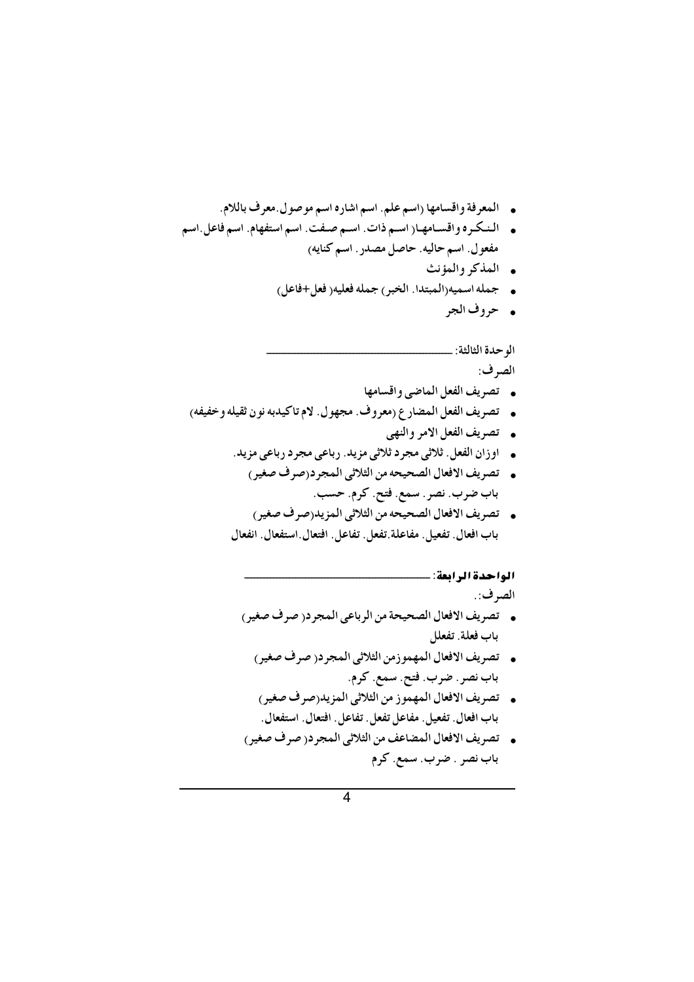- . المعرفة واقسامها (اسم علم. اسم اشاره اسم موصول معرف باللام.
- ه النكره واقسامها (اسم ذات. اسم صفت. اسم استفهام. اسم فاعل اسم مفعول. اسم حاليه. حاصل مصدر . اسم كنايه)
	- المذكر والمؤنث
	- . جمله اسميه(المبتدا. الخبر) جمله فعليه( فعل+فاعل)
		- حروف الجر

الو حدة الثالثة: \_\_

الصرف:

- تصريف الفعل الماضي واقسامها
- . تصريف الفعل المضار ع (معروف. مجهول. لام تاكيدبه نون ثقيله وخفيفه)
	- تصريف الفعل الامر والنهي
	- اوزان الفعل. ثلاثي مجرد ثلاثي مزيد. رباعي مجرد رباعي مزيد.
	- . تصريف الافعال الصحيحه من الثلاثي المجرد(صرف صغير) باب ضرب. نصر . سمع. فتح. كرم. حسب.
	- . تصريف الافعال الصحيحه من الثلاثي المزيد(صرف صغير) باب افعال. تفعيل. مفاعلة تفعل. تفاعل. افتعال.استفعال. انفعال

### الواحدة الرابعة: ...

الصرف:.

- تصريف الافعال الصحيحة من الرباعي المجر در صرف صغير ) باب فعلة. تفعلل
	- . تصريف الافعال المهموزمن الثلاثي المجرد(صرف صغير) باب نصر . ضرب . فتح . سمع . كرم .
	- . تصريف الافعال المهموز من الثلاثي المزيد<sub>(</sub>صرف صغير) باب افعال. تفعيل. مفاعل تفعل. تفاعل. افتعال. استفعال.
- . تصريف الافعال المضاعف من الثلاثي المجرد( صرف صغير) باب نصر . ضرب. سمع. كرم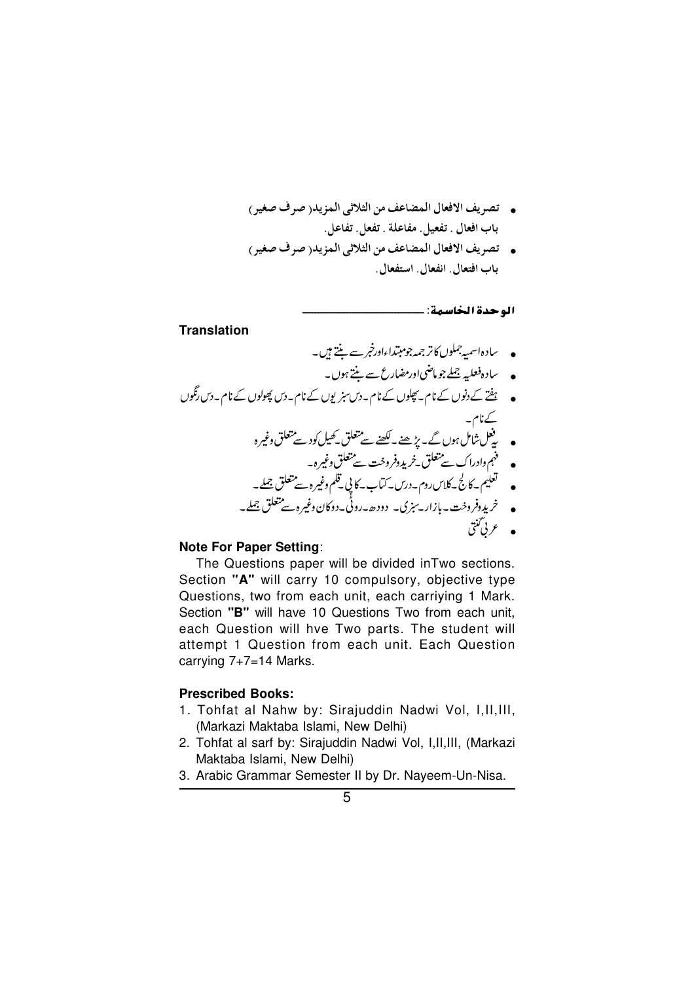- . تصريف الافعال المضاعف من الثلاثي المزيدر صرف صغير) باب افعال . تفعيل. مفاعلة . تفعل. تفاعل.
- تصريف الافعال المضاعف من الثلاثي المزيد( صرف صغير ) باب افتعال. انفعال. استفعال.

```
الوحدة الخاسمة: -
```
#### **Translation**

- سادہاسمہ جملوں کاتر جمہ جومبتداءاورخبر سے ننتے ہیں۔
	- ۔ سادہ فعلیہ جملے جو ماضی اورمضارع سے بنتے ہوں۔
- ہفتے کے دنوں کے نام۔ پچلوں کے نام۔دس سنر یوں کے نام۔دس پچولوں کے نام۔دس رنگوں کے نام۔<br>• یقل شامل ہوں گے۔ پڑھنے۔ <u>لکھنے سے م</u>تعلق کھیل کود سے متعلق وغیر ہ فہم وادراک سے متعلق نے یورفر وخت سے متعلق وغیرہ۔<br>لغیم کے کارلی کے کلاس روم۔درس۔کتاب۔کا پی تلم وغیرہ سے متعلق جملے۔
	- خریدوفروخت-بازار۔سِزِی۔ دودھ۔روٹی۔دوکان وغیرہ سے متعلق جملے۔

### **Note For Paper Setting:**

The Questions paper will be divided in Two sections. Section "A" will carry 10 compulsory, objective type Questions, two from each unit, each carriying 1 Mark. Section "B" will have 10 Questions Two from each unit, each Question will hve Two parts. The student will attempt 1 Question from each unit. Each Question carrving  $7+7=14$  Marks.

#### **Prescribed Books:**

- 1. Tohfat al Nahw by: Siraiuddin Nadwi Vol. I.II.III. (Markazi Maktaba Islami, New Delhi)
- 2. Tohfat al sarf by: Sirajuddin Nadwi Vol, I, II, III, (Markazi Maktaba Islami, New Delhi)
- 3. Arabic Grammar Semester II by Dr. Nayeem-Un-Nisa.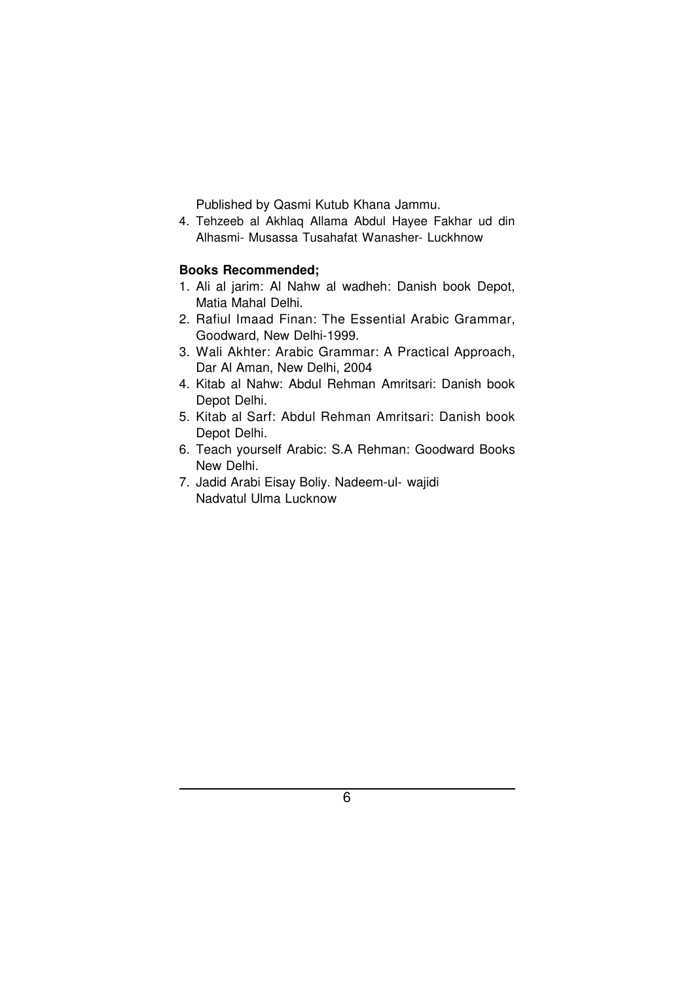Published by Qasmi Kutub Khana Jammu.

4. Tehzeeb al Akhlaq Allama Abdul Hayee Fakhar ud din Alhasmi- Musassa Tusahafat Wanasher- Luckhnow

### **Books Recommended;**

- 1. Ali al jarim: Al Nahw al wadheh: Danish book Depot, Matia Mahal Delhi.
- 2. Rafiul Imaad Finan: The Essential Arabic Grammar, Goodward, New Delhi-1999.
- 3. Wali Akhter: Arabic Grammar: A Practical Approach, Dar Al Aman, New Delhi, 2004
- 4. Kitab al Nahw: Abdul Rehman Amritsari: Danish book Depot Delhi.
- 5. Kitab al Sarf: Abdul Rehman Amritsari: Danish book Depot Delhi.
- 6. Teach yourself Arabic: S.A Rehman: Goodward Books New Delhi.
- 7. Jadid Arabi Eisay Boliy. Nadeem-ul- wajidi Nadvatul Ulma Lucknow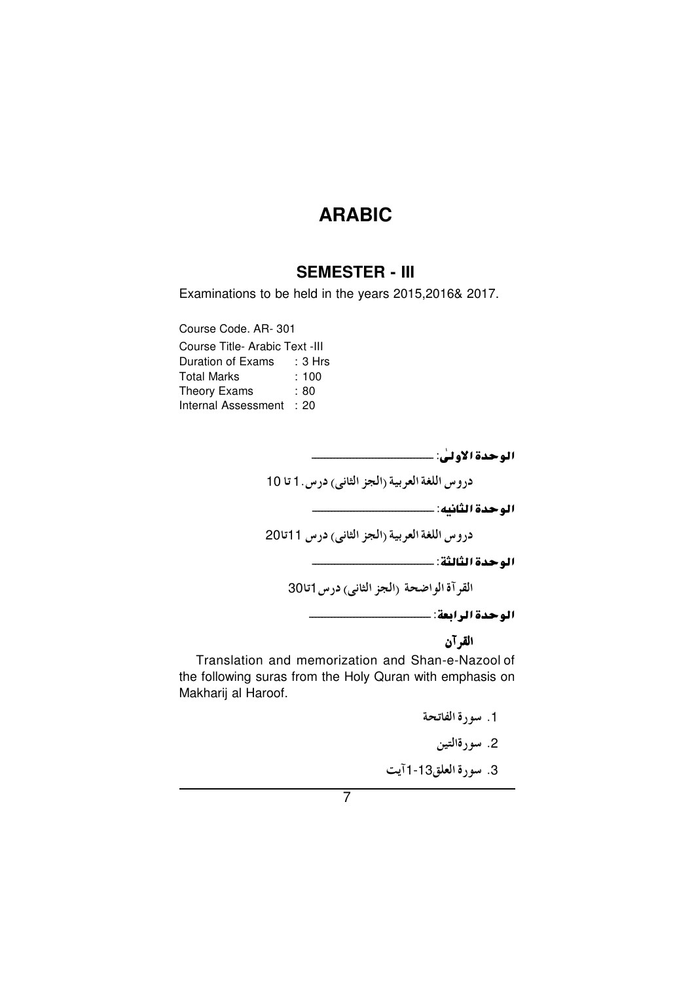# **SEMESTER - III**

Examinations to be held in the years 2015,2016& 2017.

Course Code. AR-301 Course Title- Arabic Text -III Duration of Exams : 3 Hrs **Total Marks**  $: 100$ Theory Exams  $: 80$ Internal Assessment : 20

دروس اللغة العربية (الجز الثاني) درس. 1 تا 10

دروس اللغة العربية (الجز الثاني) درس 11تا20

القرآة الواضحة (الجز الثاني) درس 1تا30

الوحدة الرابعة: ـــــــــــــــــــــــــــ

القرآن

Translation and memorization and Shan-e-Nazool of the following suras from the Holy Quran with emphasis on Makharij al Haroof.

1. سورة الفاتحة

2. سورةالتين

3. سورة العلق13-1 آيت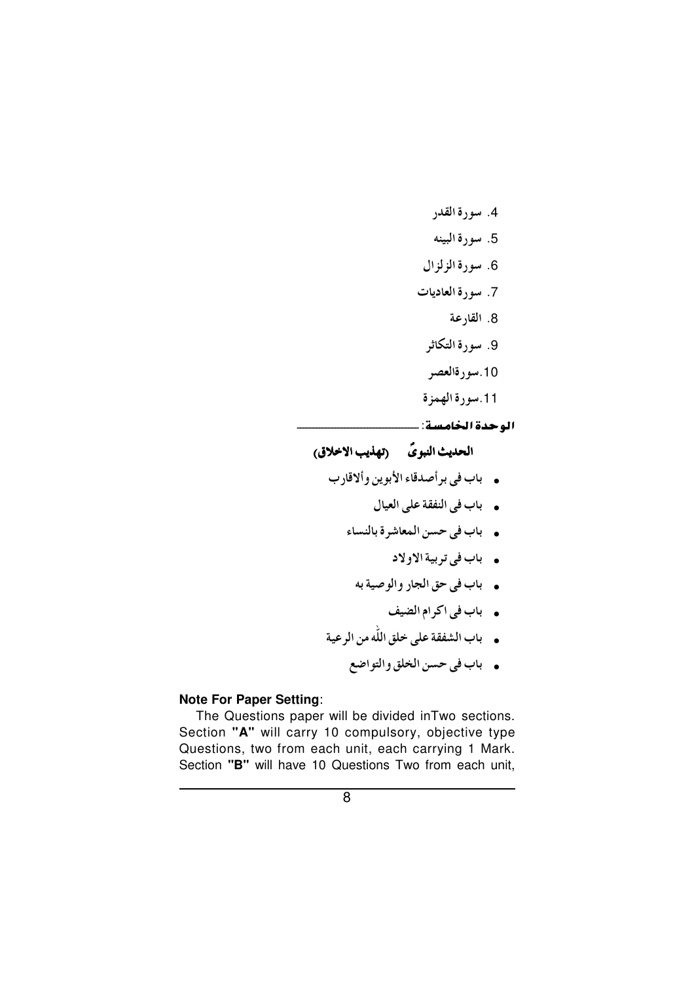- 4. سورة القدر
- 5. سورة البينه
- 6. سورة الزلزال
- 7. سورة العاديات
	- 8. القارعة
	- 9. سورة التكاثر
	- 10.سورةالعصر
- 11.سورة الهمزة
- الوحدة الخامسة: ـــ

# الحديث النبويّ (تهذيب الاخلاق)

- باب في برأصدقاء الأبوين وألاقارب
	- باب في النفقة على العيال
	- .<br>• باب في حسن المعاشرة بالنساء
		- باب في تربية الاولاد
		- . باب في حق الجار والوصية به
			- . باب في اكرام الضيف
- .<br>• باب الشفقة على خلق الله من الرعية
	- باب في حسن الخلق والتواضع

### **Note For Paper Setting:**

The Questions paper will be divided in Two sections. Section "A" will carry 10 compulsory, objective type Questions, two from each unit, each carrying 1 Mark. Section "B" will have 10 Questions Two from each unit,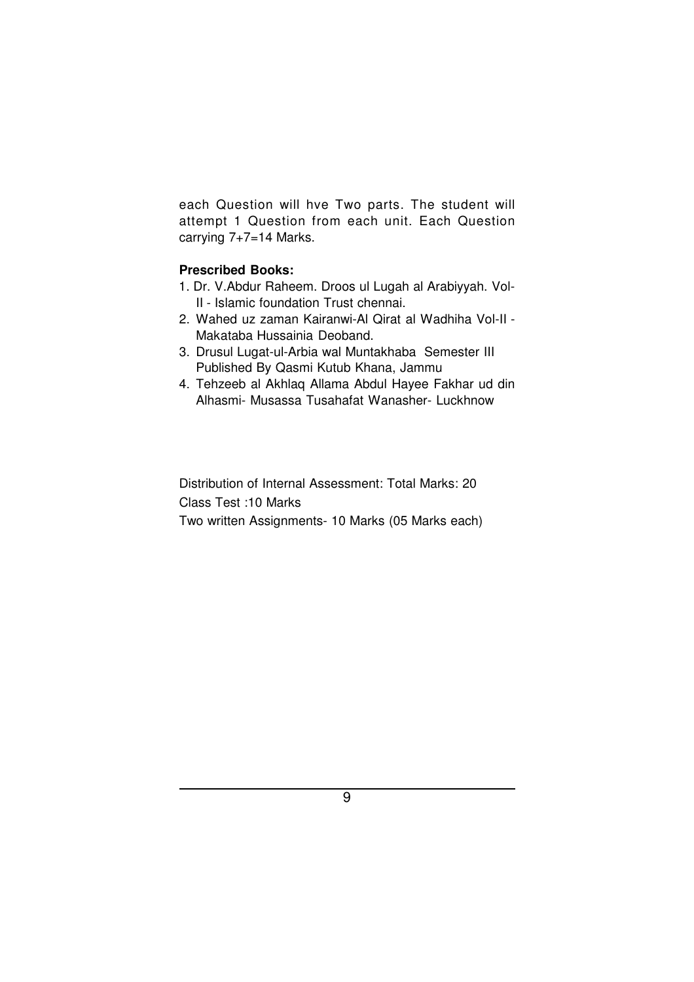each Question will hve Two parts. The student will attempt 1 Question from each unit. Each Question carrying 7+7=14 Marks.

## **Prescribed Books:**

- 1. Dr. V.Abdur Raheem. Droos ul Lugah al Arabiyyah. Vol-II - Islamic foundation Trust chennai.
- 2. Wahed uz zaman Kairanwi-Al Qirat al Wadhiha Vol-II Makataba Hussainia Deoband.
- 3. Drusul Lugat-ul-Arbia wal Muntakhaba Semester III Published By Qasmi Kutub Khana, Jammu
- 4. Tehzeeb al Akhlaq Allama Abdul Hayee Fakhar ud din Alhasmi- Musassa Tusahafat Wanasher- Luckhnow

Distribution of Internal Assessment: Total Marks: 20 Class Test :10 Marks Two written Assignments- 10 Marks (05 Marks each)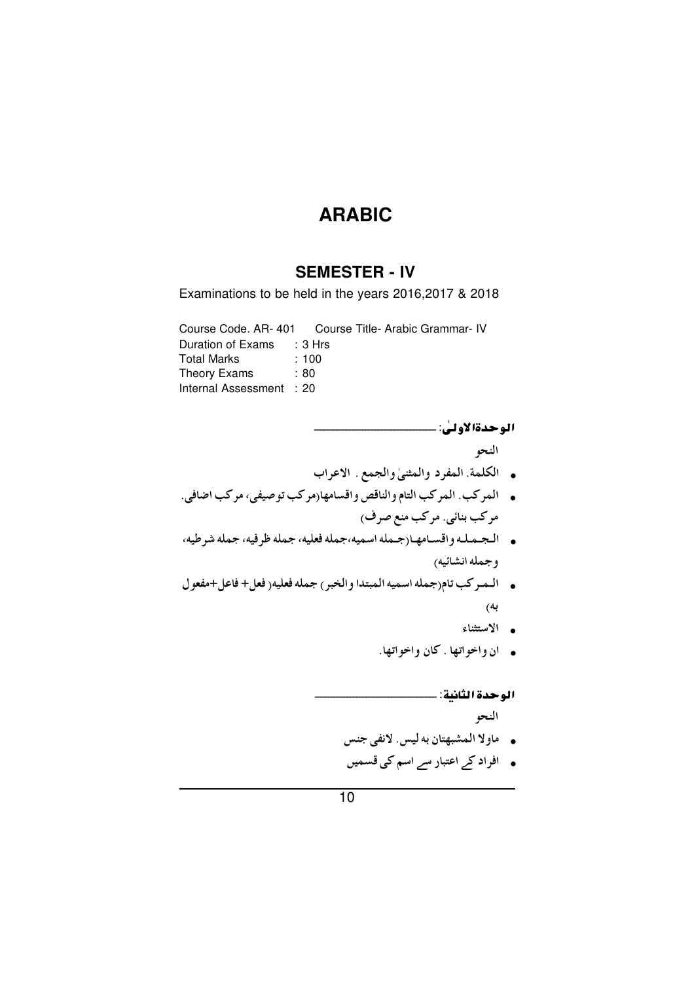# **SEMESTER - IV**

Examinations to be held in the years 2016, 2017 & 2018

Course Code. AR-401 Course Title- Arabic Grammar- IV

| Duration of Exams   | : 3 Hrs |
|---------------------|---------|
| <b>Total Marks</b>  | :100    |
| Theory Exams        | : 80    |
| Internal Assessment | : 20    |

النحو

- . الكلمة المفرد والمثنى والجمع . الاعراب
- .<br>• المركب. المركب التام والناقص واقسامها(مركب توصيفي، مركب اضافي. مرکب بنائی. مرکب منع صرف)
- . الجمله واقسامها (جمله اسميه،جمله فعليه، جمله ظرفيه، جمله شرطيه، وجمله انشائيه)
- . الـمـركب تام(جمله اسميه المبتدا والخبر) جمله فعليه( فعل+ فاعل+مفعول به)
	- ه الاستثناء
	- ان واخواتها . كان واخواتها.

### الوحدة الثانية: ...

النحو

- .<br>• ماولا المشبهتان به ليس لانفي جنس
- ہ ۔ افراد کر اعتبار سر اسم کی قسمیں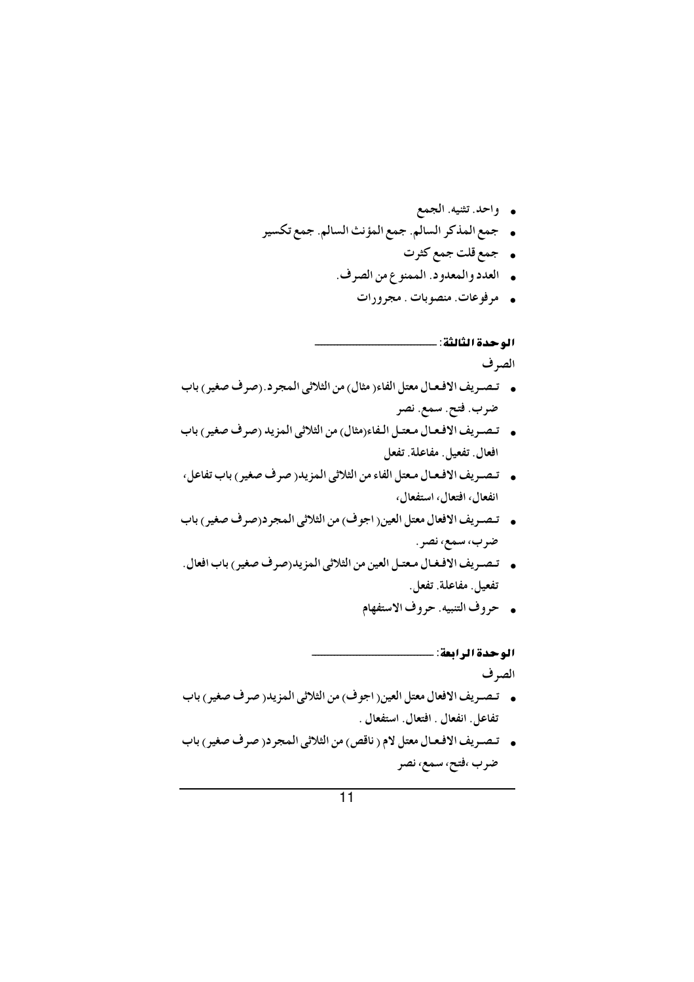- **.** واحد تثنيه الجمع
- . جمع المذكر السالم. جمع المؤنث السالم. جمع تكسير
	- . جمع قلت جمع كثرت
	- ه العدد والمعدود. الممنوع من الصرف.
		- ه مرفوعات منصوبات . مجرورات

الوحدة الثالثة: ...

الصرف

- . تصريف الافعال معتل الفاء( مثال) من الثلاثي المجرد.(صرف صغير) باب ضرب. فتح. سمع. نصر
- . تصريف الافعال معتـل الـفاء(مثال) من الثلاثي المزيد (صرف صغير) باب افعال. تفعيل. مفاعلة. تفعل
- . تصريف الافعـال مـعتل الفاء من الثلاثي المزيد( صرف صغير) باب تفاعل، انفعال، افتعال، استفعال،
- .<br>• تصريف الافعال معتل العين( اجوف) من الثلاثي المجرد(صرف صغير) باب ضرب، سمع، نصر .
- . تصريف الافغال معتـل العين من الثلاثي المزيد(صرف صغير) باب افعال. تفعيل. مفاعلة. تفعل.
	- حروف التنبيه. حروف الاستفهام

الوحدة الرابعة: ـــــ الصر ف

- . تـصـريف الافعال معتل العين( اجوف) من الثلاثي المزيد( صرف صغير) باب تفاعل ِ انفعال ِ افتعال ِ استفعال ِ ـ
- . تصريف الافعـال معتل لام ( ناقص) من الثلاثي المجرد( صرف صغير) باب ضرب ،فتح، سمع، نصر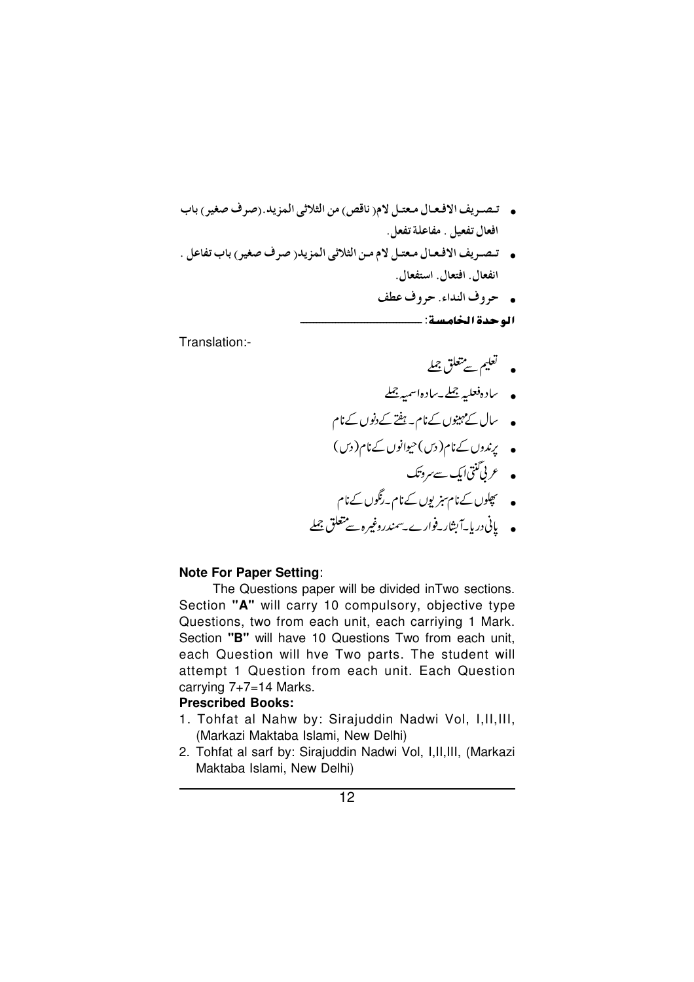- . تصريف الافعـال مـعتـل لام( ناقص) من الثلاثي المزيد.(صرف صغير) باب افعال تفعيل . مفاعلة تفعل.
- تصريف الافعال معتل لام من الثلاثي المزيد( صرف صغير ) باب تفاعل . انفعال. افتعال. استفعال.
	- حروف النداء. حروف عطف الوحدة الخامسة: ــــــ

Translation:-

- لغليم سے متعلق جملے
- ساده فعلیہ جملے۔سادہاسمیہ جملے
- سال کے مہینوں کے نام۔ ہفتے کے دنوں کے نام
- پندوں کےنام(دیں)حیوانوں کےنام(دیں)
	-
- ۔<br>• چپلوں کےنام ہزیوں کےنام۔رنگوں کےنام
- پانی دریا<sup>ی</sup> آبشار فوارے *سیندر*وغیرہ سے متعلق جملے

### **Note For Paper Setting:**

The Questions paper will be divided in Two sections. Section "A" will carry 10 compulsory, objective type Questions, two from each unit, each carriying 1 Mark. Section "B" will have 10 Questions Two from each unit, each Question will hve Two parts. The student will attempt 1 Question from each unit. Each Question carrying 7+7=14 Marks.

### **Prescribed Books:**

- 1. Tohfat al Nahw by: Sirajuddin Nadwi Vol, I, II, III, (Markazi Maktaba Islami, New Delhi)
- 2. Tohfat al sarf by: Sirajuddin Nadwi Vol, I, II, III, (Markazi Maktaba Islami, New Delhi)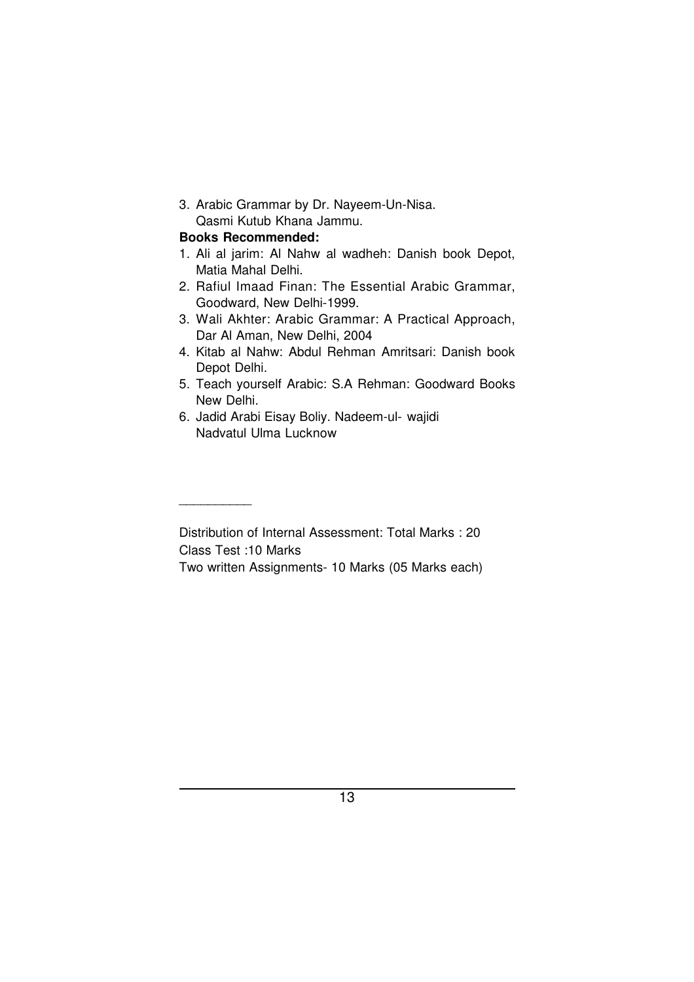3. Arabic Grammar by Dr. Nayeem-Un-Nisa. Qasmi Kutub Khana Jammu.

## **Books Recommended:**

\_\_\_\_\_\_\_\_\_\_

- 1. Ali al jarim: Al Nahw al wadheh: Danish book Depot, Matia Mahal Delhi.
- 2. Rafiul Imaad Finan: The Essential Arabic Grammar, Goodward, New Delhi-1999.
- 3. Wali Akhter: Arabic Grammar: A Practical Approach, Dar Al Aman, New Delhi, 2004
- 4. Kitab al Nahw: Abdul Rehman Amritsari: Danish book Depot Delhi.
- 5. Teach yourself Arabic: S.A Rehman: Goodward Books New Delhi.
- 6. Jadid Arabi Eisay Boliy. Nadeem-ul- wajidi Nadvatul Ulma Lucknow

Distribution of Internal Assessment: Total Marks : 20 Class Test :10 Marks Two written Assignments- 10 Marks (05 Marks each)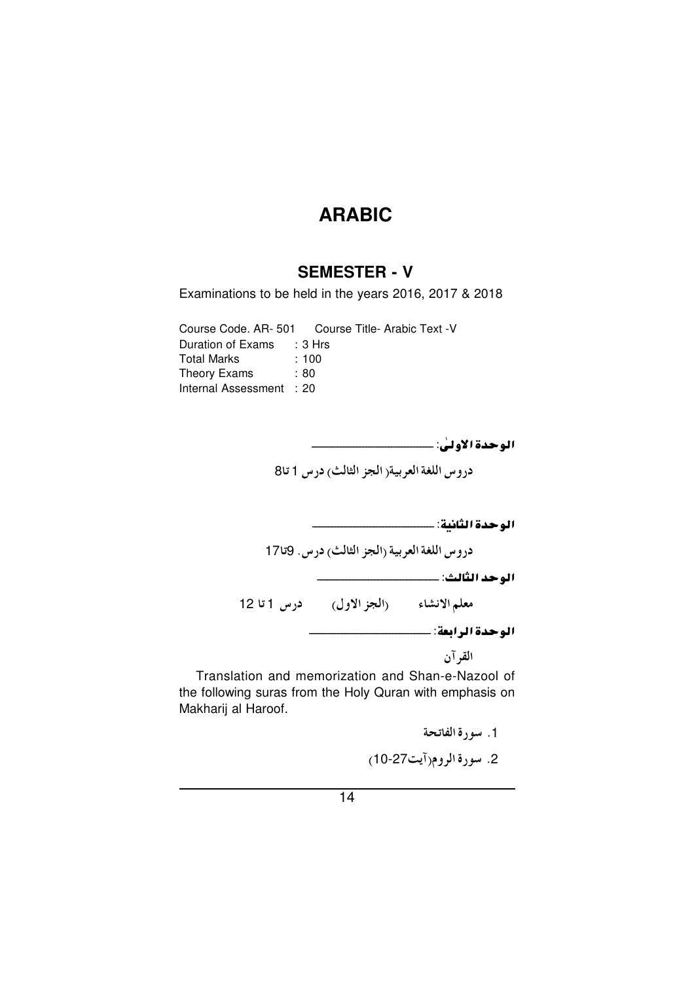# **SEMESTER - V**

Examinations to be held in the years 2016, 2017 & 2018

Course Code. AR-501 Course Title- Arabic Text -V Duration of Exams : 3 Hrs **Total Marks**  $: 100$ Theory Exams : 80 Internal Assessment : 20

دروس اللغة العربية(الجز الثالث) درس 1 تا8

دروس اللغة العربية (الجز الثالث) درس. 9تا17

معلم الانشاء (الجز الاول) درس 1 تا 12

الوحدة الرابعة: ــــــــــــ

القر آن

Translation and memorization and Shan-e-Nazool of the following suras from the Holy Quran with emphasis on Makharij al Haroof.

> 1. سورة الفاتحة 2. سورة الروم(آيت27-10)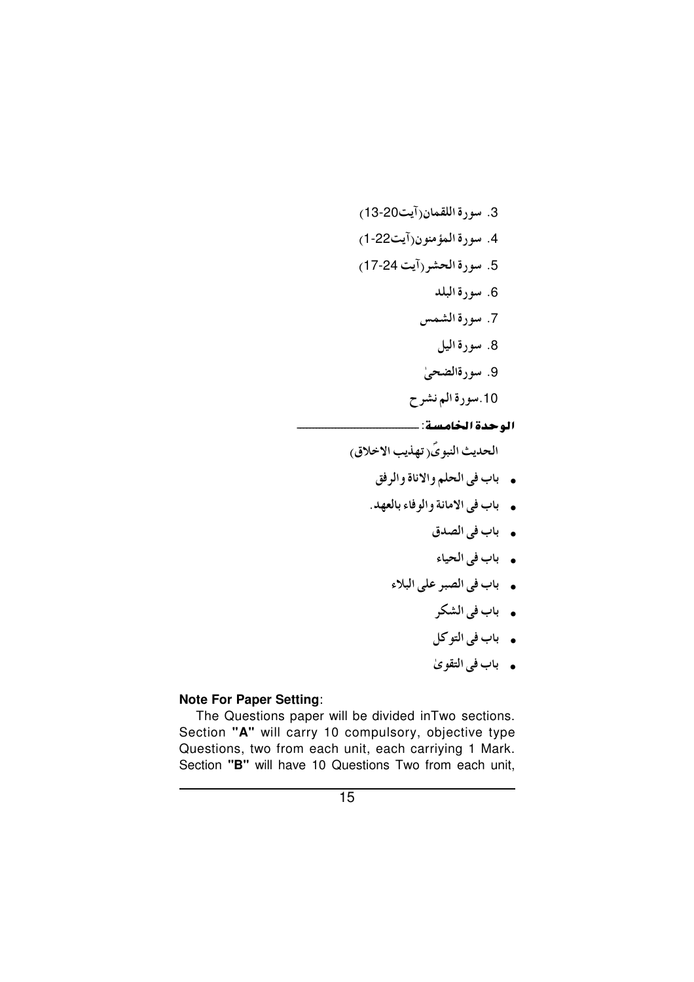الحديث النبويَ(تهذيب الاخلاق)

- . باب في الحلم والاناة والرفق
- . باب في الامانة والوفاء بالعهد.
	- باب في الصدق
	- باب في الحياء
	- باب في الصبر على البلاء
		- . باب في الشكر
		- . باب في التوكل
		- باب في التقوىٰ

### **Note For Paper Setting:**

The Questions paper will be divided in Two sections. Section "A" will carry 10 compulsory, objective type Questions, two from each unit, each carriying 1 Mark. Section "B" will have 10 Questions Two from each unit,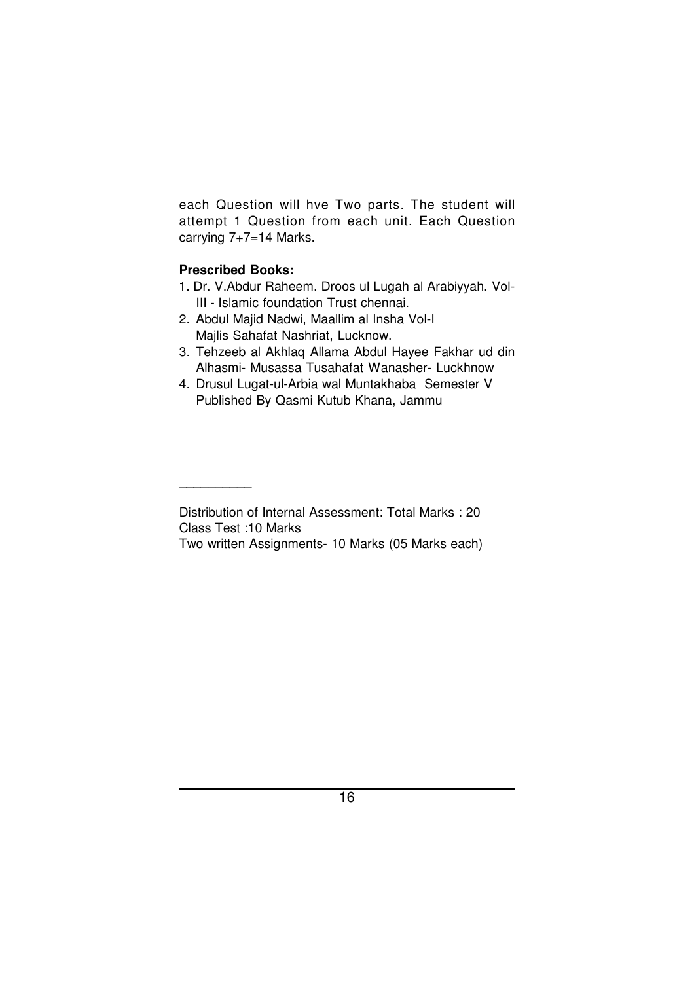each Question will hve Two parts. The student will attempt 1 Question from each unit. Each Question carrying 7+7=14 Marks.

## **Prescribed Books:**

\_\_\_\_\_\_\_\_\_\_

- 1. Dr. V.Abdur Raheem. Droos ul Lugah al Arabiyyah. Vol-III - Islamic foundation Trust chennai.
- 2. Abdul Majid Nadwi, Maallim al Insha Vol-I Majlis Sahafat Nashriat, Lucknow.
- 3. Tehzeeb al Akhlaq Allama Abdul Hayee Fakhar ud din Alhasmi- Musassa Tusahafat Wanasher- Luckhnow
- 4. Drusul Lugat-ul-Arbia wal Muntakhaba Semester V Published By Qasmi Kutub Khana, Jammu

Distribution of Internal Assessment: Total Marks : 20 Class Test :10 Marks

Two written Assignments- 10 Marks (05 Marks each)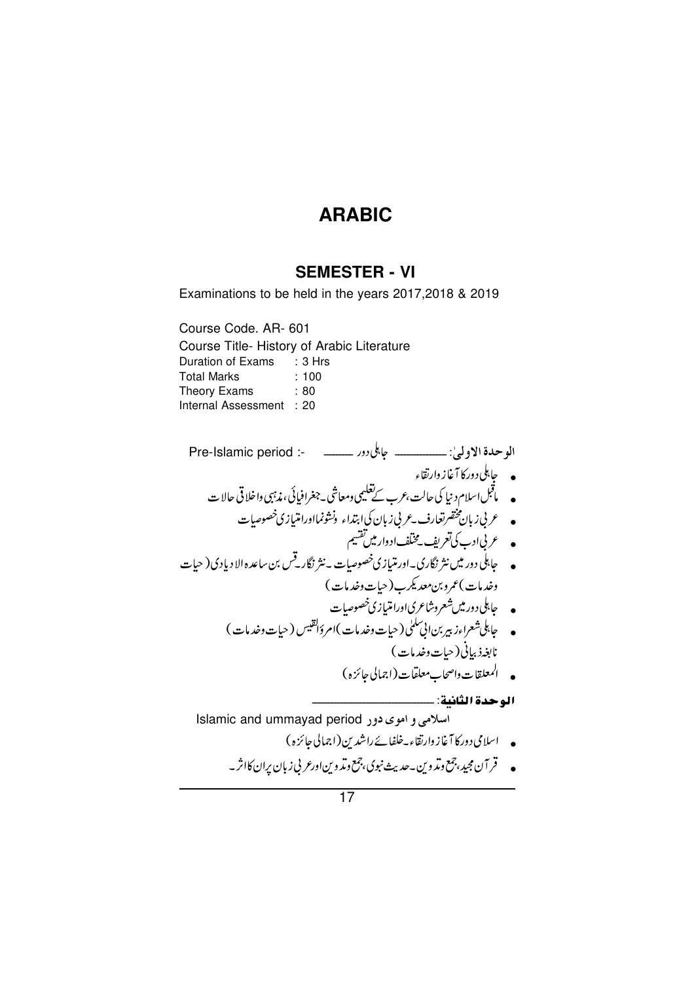# **SEMESTER - VI**

Examinations to be held in the years 2017,2018 & 2019

Course Code. AR- 601 Course Title- History of Arabic Literature Duration of Exams : 3 Hrs **Total Marks**  $: 100$ Theory Exams  $: 80$ Internal Assessment : 20

الوحدة الاولىٰ: \_\_\_\_\_\_\_\_\_\_ جابلي دور \_\_\_\_\_\_\_\_\_\_\_ -: Pre-Islamic period • عربی زبان پختصرتغارف ـعربی زبان کی ابتداء ونشونمااورامتیازی خصوصیات • جابلی دور میں نثر نگاری۔اور متیازی خصوصیات ۔ نثر نگارتےں بن ساعدہ الا دیادی( حیات وخدمات )عمروبن معديكرب ( حيات وخدمات ) نابغهذ بياني ( حيات وخدمات ) • المعلقات واصحاب معلقات (اجمالى جائزه) Islamic and ummayad period اسلامی و اموی دور • اسلامی دورکا آغاز وارتقاء۔خلفائے راشدین(اجمالی جائزہ) • قر آن مجید، چمع دیدّ دین به حدیث نبوی، چمع دیدّ دین ادرعر پی زبان پران کااثر به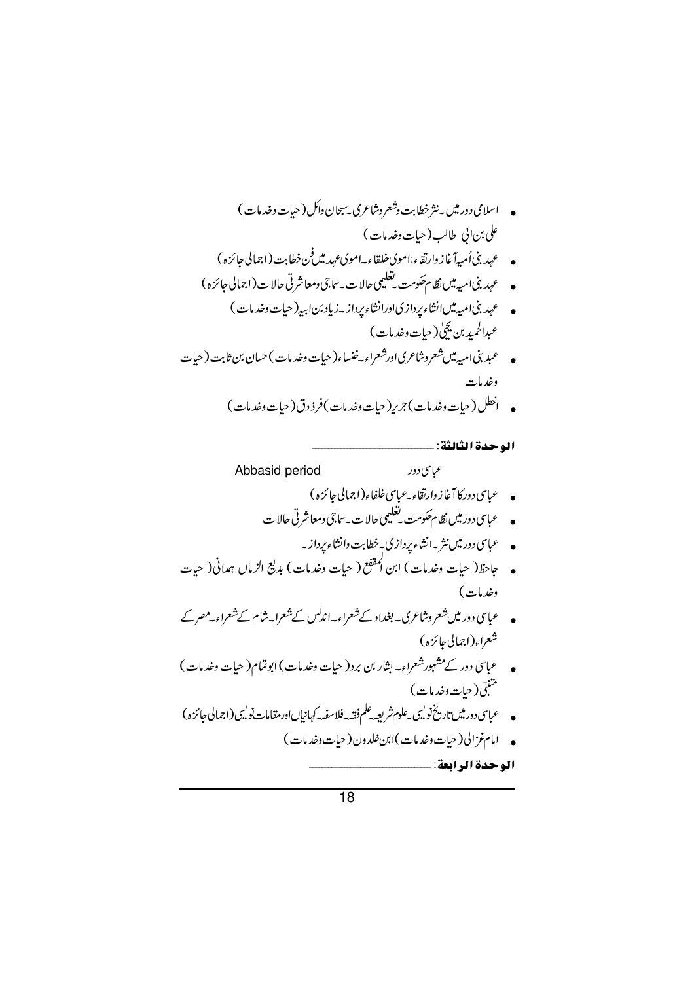\n- \n
$$
\int_{0}^{1} f(t) \, dt
$$
\n
\n- \n $\int_{0}^{1} f(t) \, dt$ \n
\n- \n $\int_{0}^{1} f(t) \, dt$ \n
\n- \n $\int_{0}^{1} f(t) \, dt$ \n
\n- \n $\int_{0}^{1} f(t) \, dt$ \n
\n- \n $\int_{0}^{1} f(t) \, dt$ \n
\n- \n $\int_{0}^{1} f(t) \, dt$ \n
\n- \n $\int_{0}^{1} f(t) \, dt$ \n
\n- \n $\int_{0}^{1} f(t) \, dt$ \n
\n- \n $\int_{0}^{1} f(t) \, dt$ \n
\n- \n $\int_{0}^{1} f(t) \, dt$ \n
\n- \n $\int_{0}^{1} f(t) \, dt$ \n
\n- \n $\int_{0}^{1} f(t) \, dt$ \n
\n- \n $\int_{0}^{1} f(t) \, dt$ \n
\n- \n $\int_{0}^{1} f(t) \, dt$ \n
\n- \n $\int_{0}^{1} f(t) \, dt$ \n
\n- \n $\int_{0}^{1} f(t) \, dt$ \n
\n- \n $\int_{0}^{1} f(t) \, dt$ \n
\n- \n $\int_{0}^{1} f(t) \, dt$ \n
\n- \n $\int_{0}^{1} f(t) \, dt$ \n
\n- \n $\int_{0}^{1} f(t) \, dt$ \n
\n- \n $\int_{0}^{1} f(t) \, dt$ \n
\n- \n $\int_{0}^{1} f(t) \, dt$ \n
\n- \n $\int_{0}^{1} f(t) \, dt$ \n
\n- \n $\int_{0}^{1} f(t) \, dt$ \n
\n- \n $\int_{$

- عباسی دور میں شعروشاعری۔ بغداد کے شعراء۔اندلس کے شعرا۔شام کے شعراء۔مصر کے شعر<sub>اء</sub>(اجمالی جائزہ)
- عباسی دور کے مشہور شعراء۔ بشار بن برد( حیات وخدمات ) ابوتمام( حیات وخدمات ) .<br>متنبی(حیات *وخد*مات)

الوحدة الرابعة: ....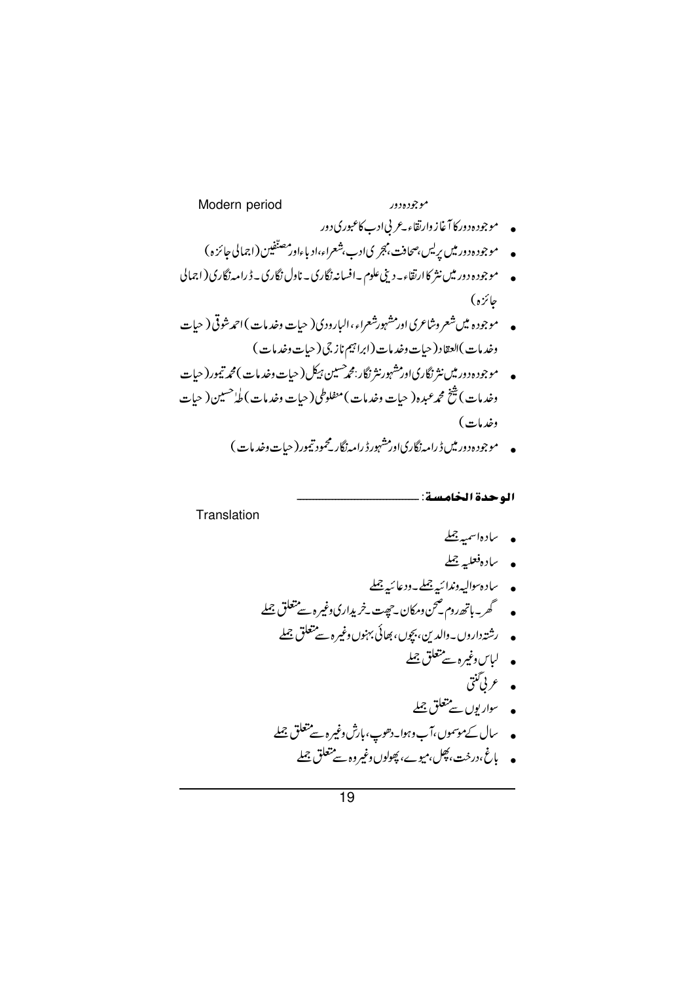Translation

الوحدة الخامسة: ـ

• يادەاسمىيە جىل

- بادەفعلى<sub>ت</sub>ە جىل
- 
- - - لباس *وغیر*ہ سے متعلق جملے
			-
		- ۔ ۔ ۔ ۔<br>• عربی گنتی<br>• سواریوں سے متعلق <u>جملہ</u>

• پاغ،درخت، پھِل،میوے، پھولوں وغیروہ سے متعلق جملے